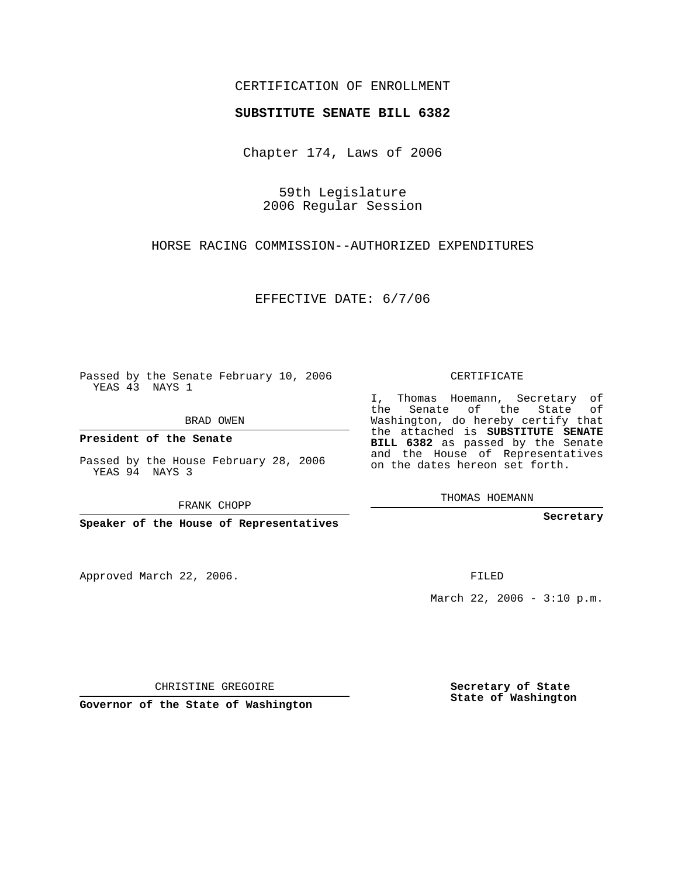## CERTIFICATION OF ENROLLMENT

## **SUBSTITUTE SENATE BILL 6382**

Chapter 174, Laws of 2006

59th Legislature 2006 Regular Session

HORSE RACING COMMISSION--AUTHORIZED EXPENDITURES

EFFECTIVE DATE: 6/7/06

Passed by the Senate February 10, 2006 YEAS 43 NAYS 1

BRAD OWEN

**President of the Senate**

Passed by the House February 28, 2006 YEAS 94 NAYS 3

FRANK CHOPP

**Speaker of the House of Representatives**

Approved March 22, 2006.

CERTIFICATE

I, Thomas Hoemann, Secretary of the Senate of the State of Washington, do hereby certify that the attached is **SUBSTITUTE SENATE BILL 6382** as passed by the Senate and the House of Representatives on the dates hereon set forth.

THOMAS HOEMANN

**Secretary**

FILED

March 22, 2006 -  $3:10$  p.m.

CHRISTINE GREGOIRE

**Governor of the State of Washington**

**Secretary of State State of Washington**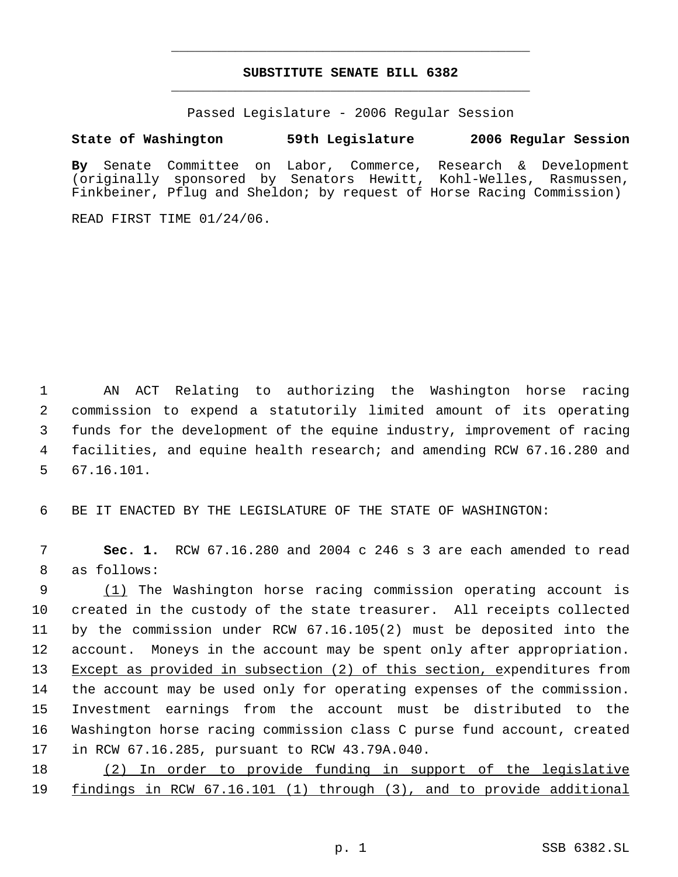## **SUBSTITUTE SENATE BILL 6382** \_\_\_\_\_\_\_\_\_\_\_\_\_\_\_\_\_\_\_\_\_\_\_\_\_\_\_\_\_\_\_\_\_\_\_\_\_\_\_\_\_\_\_\_\_

\_\_\_\_\_\_\_\_\_\_\_\_\_\_\_\_\_\_\_\_\_\_\_\_\_\_\_\_\_\_\_\_\_\_\_\_\_\_\_\_\_\_\_\_\_

Passed Legislature - 2006 Regular Session

## **State of Washington 59th Legislature 2006 Regular Session**

**By** Senate Committee on Labor, Commerce, Research & Development (originally sponsored by Senators Hewitt, Kohl-Welles, Rasmussen, Finkbeiner, Pflug and Sheldon; by request of Horse Racing Commission)

READ FIRST TIME 01/24/06.

 AN ACT Relating to authorizing the Washington horse racing commission to expend a statutorily limited amount of its operating funds for the development of the equine industry, improvement of racing facilities, and equine health research; and amending RCW 67.16.280 and 67.16.101.

BE IT ENACTED BY THE LEGISLATURE OF THE STATE OF WASHINGTON:

 **Sec. 1.** RCW 67.16.280 and 2004 c 246 s 3 are each amended to read as follows:

 (1) The Washington horse racing commission operating account is created in the custody of the state treasurer. All receipts collected by the commission under RCW 67.16.105(2) must be deposited into the account. Moneys in the account may be spent only after appropriation. 13 Except as provided in subsection (2) of this section, expenditures from the account may be used only for operating expenses of the commission. Investment earnings from the account must be distributed to the Washington horse racing commission class C purse fund account, created in RCW 67.16.285, pursuant to RCW 43.79A.040.

 (2) In order to provide funding in support of the legislative findings in RCW 67.16.101 (1) through (3), and to provide additional